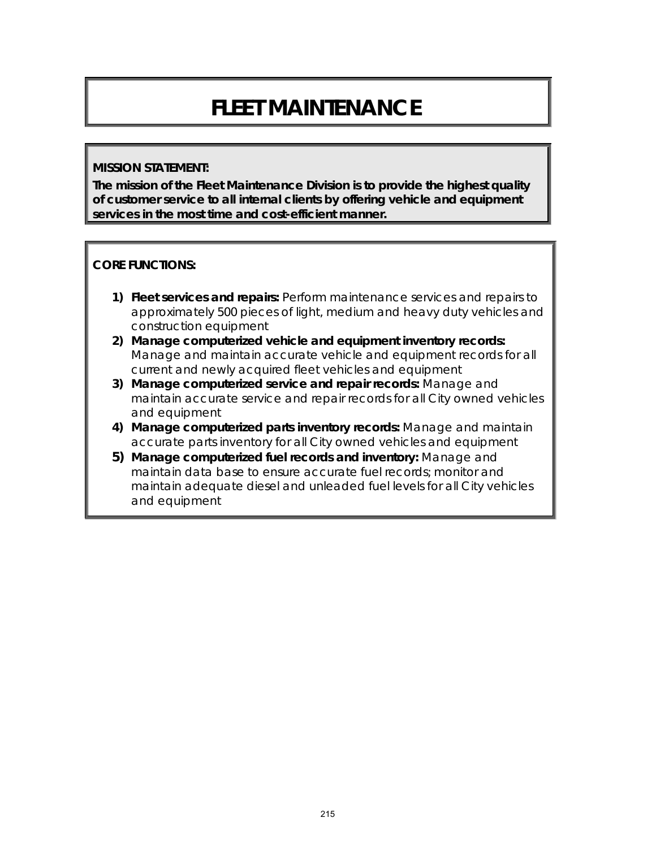# **FLEET MAINTENANCE**

#### **MISSION STATEMENT:**

**The mission of the Fleet Maintenance Division is to provide the highest quality of customer service to all internal clients by offering vehicle and equipment services in the most time and cost-efficient manner.**

#### **CORE FUNCTIONS:**

- **1) Fleet services and repairs:** Perform maintenance services and repairs to approximately 500 pieces of light, medium and heavy duty vehicles and construction equipment
- **2) Manage computerized vehicle and equipment inventory records:**  Manage and maintain accurate vehicle and equipment records for all current and newly acquired fleet vehicles and equipment
- **3) Manage computerized service and repair records:** Manage and maintain accurate service and repair records for all City owned vehicles and equipment
- **4) Manage computerized parts inventory records:** Manage and maintain accurate parts inventory for all City owned vehicles and equipment
- **5) Manage computerized fuel records and inventory:** Manage and maintain data base to ensure accurate fuel records; monitor and maintain adequate diesel and unleaded fuel levels for all City vehicles and equipment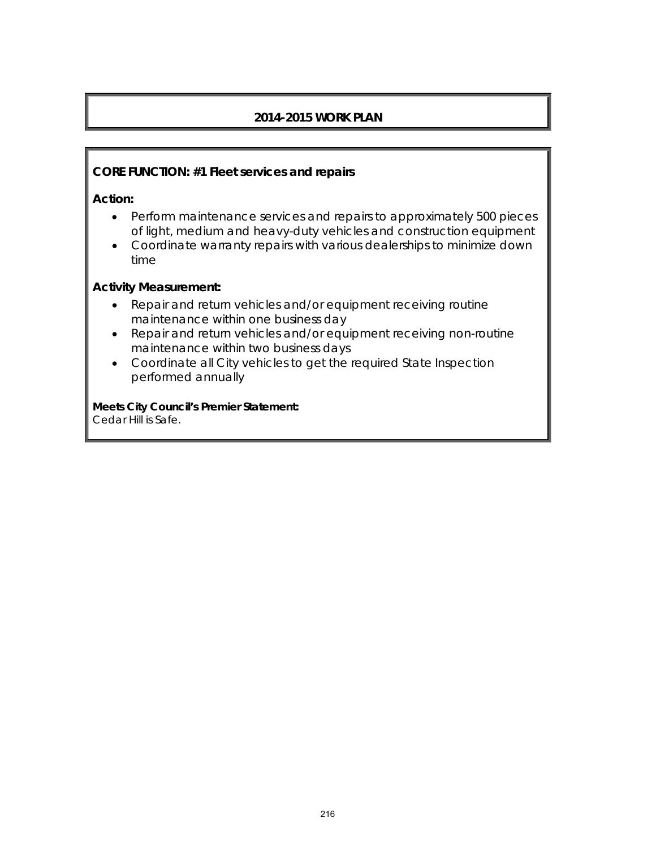# **2014-2015 WORK PLAN**

#### **CORE FUNCTION: #1 Fleet services and repairs**

**Action:** 

- Perform maintenance services and repairs to approximately 500 pieces of light, medium and heavy-duty vehicles and construction equipment
- Coordinate warranty repairs with various dealerships to minimize down time

#### **Activity Measurement:**

- Repair and return vehicles and/or equipment receiving routine maintenance within one business day
- Repair and return vehicles and/or equipment receiving non-routine maintenance within two business days
- Coordinate all City vehicles to get the required State Inspection performed annually

**Meets City Council's Premier Statement:** Cedar Hill is Safe.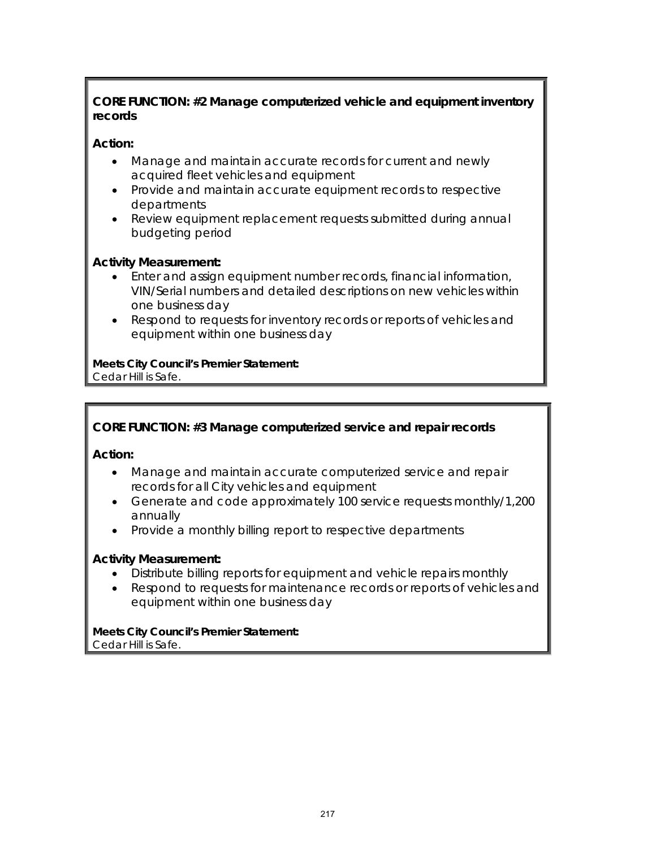## **CORE FUNCTION: #2 Manage computerized vehicle and equipment inventory records**

## **Action:**

- Manage and maintain accurate records for current and newly acquired fleet vehicles and equipment
- Provide and maintain accurate equipment records to respective departments
- Review equipment replacement requests submitted during annual budgeting period

#### **Activity Measurement:**

- Enter and assign equipment number records, financial information, VIN/Serial numbers and detailed descriptions on new vehicles within one business day
- Respond to requests for inventory records or reports of vehicles and equipment within one business day

**Meets City Council's Premier Statement:** Cedar Hill is Safe.

### **CORE FUNCTION: #3 Manage computerized service and repair records**

**Action:** 

- Manage and maintain accurate computerized service and repair records for all City vehicles and equipment
- Generate and code approximately 100 service requests monthly/1,200 annually
- Provide a monthly billing report to respective departments

#### **Activity Measurement:**

- Distribute billing reports for equipment and vehicle repairs monthly
- Respond to requests for maintenance records or reports of vehicles and equipment within one business day

**Meets City Council's Premier Statement:** Cedar Hill is Safe.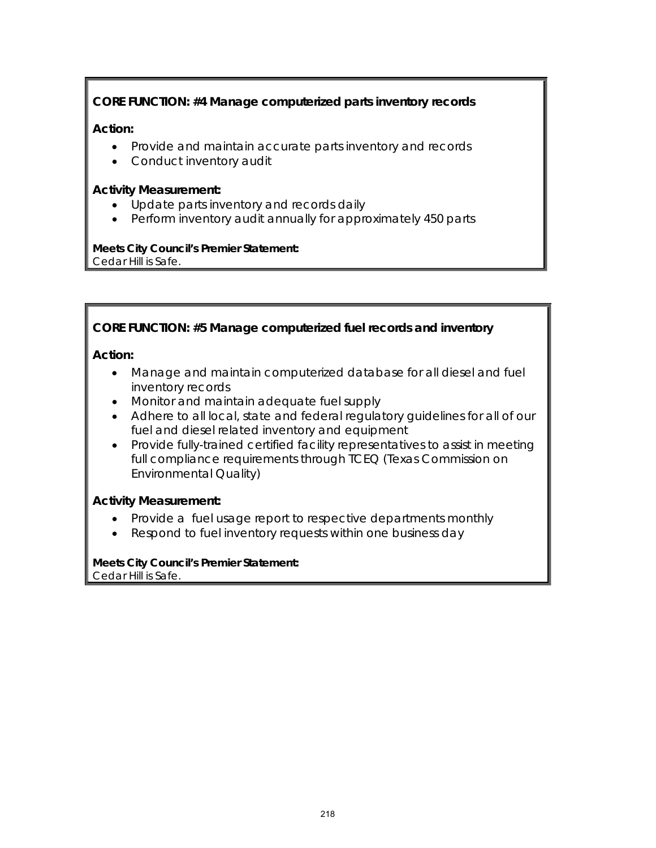### **CORE FUNCTION: #4 Manage computerized parts inventory records**

#### **Action:**

- Provide and maintain accurate parts inventory and records
- Conduct inventory audit

#### **Activity Measurement:**

- Update parts inventory and records daily
- Perform inventory audit annually for approximately 450 parts

#### **Meets City Council's Premier Statement:** Cedar Hill is Safe.

#### **CORE FUNCTION: #5 Manage computerized fuel records and inventory**

#### **Action:**

- Manage and maintain computerized database for all diesel and fuel inventory records
- Monitor and maintain adequate fuel supply
- Adhere to all local, state and federal regulatory guidelines for all of our fuel and diesel related inventory and equipment
- Provide fully-trained certified facility representatives to assist in meeting full compliance requirements through TCEQ (Texas Commission on Environmental Quality)

#### **Activity Measurement:**

- Provide a fuel usage report to respective departments monthly
- Respond to fuel inventory requests within one business day

#### **Meets City Council's Premier Statement:** Cedar Hill is Safe.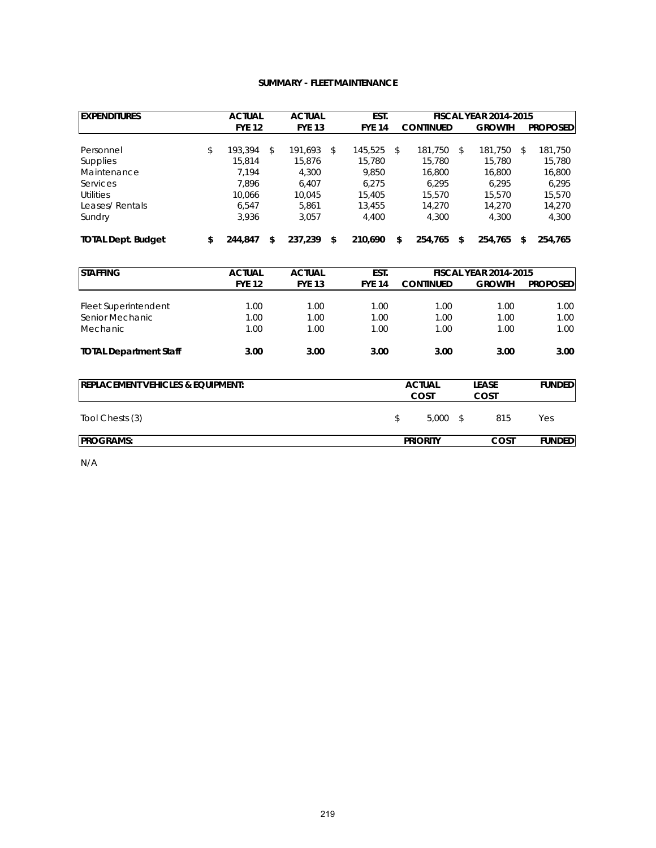#### **SUMMARY - FLEET MAINTENANCE**

| <b>EXPENDITURES</b>               |    | <b>ACTUAL</b> |    | <b>ACTUAL</b> |    | EST.          |               | <b>FISCAL YEAR 2014-2015</b> |              |                              |                |                 |
|-----------------------------------|----|---------------|----|---------------|----|---------------|---------------|------------------------------|--------------|------------------------------|----------------|-----------------|
|                                   |    | <b>FYE 12</b> |    | <b>FYE 13</b> |    | <b>FYE 14</b> |               | <b>CONTINUED</b>             |              | <b>GROWTH</b>                |                | <b>PROPOSED</b> |
| Personnel                         | \$ | 193.394       | \$ | 191.693       | \$ | 145.525       | \$            | 181.750                      | \$           | 181.750                      | $\mathfrak{L}$ | 181,750         |
| <b>Supplies</b>                   |    | 15.814        |    | 15.876        |    | 15.780        |               | 15,780                       |              | 15.780                       |                | 15,780          |
| Maintenance                       |    | 7,194         |    | 4.300         |    | 9.850         |               | 16,800                       |              | 16,800                       |                | 16,800          |
| Services                          |    | 7,896         |    | 6,407         |    | 6,275         |               | 6,295                        |              | 6,295                        |                | 6,295           |
| Utilities                         |    | 10.066        |    | 10.045        |    | 15.405        |               | 15,570                       |              | 15,570                       |                | 15.570          |
| Leases/Rentals                    |    | 6.547         |    | 5.861         |    | 13.455        |               | 14,270                       |              | 14,270                       |                | 14,270          |
| Sundry                            |    | 3,936         |    | 3,057         |    | 4,400         |               | 4,300                        |              | 4,300                        |                | 4,300           |
| <b>TOTAL Dept. Budget</b>         | \$ | 244,847       | \$ | 237,239       | \$ | 210,690       | \$            | 254,765                      | \$           | 254,765                      | \$             | 254,765         |
| <b>STAFFING</b>                   |    | <b>ACTUAL</b> |    | <b>ACTUAL</b> |    | EST.          |               |                              |              | <b>FISCAL YEAR 2014-2015</b> |                |                 |
|                                   |    | <b>FYE 12</b> |    | <b>FYE 13</b> |    | <b>FYE 14</b> |               | <b>CONTINUED</b>             |              | <b>GROWTH</b>                |                | <b>PROPOSED</b> |
| Fleet Superintendent              |    | 1.00          |    | 1.00          |    | 1.00          |               | 1.00                         |              | 1.00                         |                | 1.00            |
| Senior Mechanic                   |    | 1.00          |    | 1.00          |    | 1.00          | 1.00          |                              |              | 1.00                         |                | 1.00            |
| Mechanic                          |    | 1.00          |    | 1.00          |    | 1.00          |               | 1.00                         |              | 1.00                         |                | 1.00            |
| <b>TOTAL Department Staff</b>     |    | 3.00          |    | 3.00          |    | 3.00          |               | 3.00                         |              | 3.00                         |                | 3.00            |
| REPLACEMENT VEHICLES & EQUIPMENT: |    |               |    |               |    |               | <b>ACTUAL</b> |                              | <b>LEASE</b> |                              | <b>FUNDED</b>  |                 |
|                                   |    |               |    |               |    |               |               | COST                         |              | COST                         |                |                 |
| Tool Chests (3)                   |    |               |    |               |    |               | \$            | 5,000                        | \$           | 815                          |                | Yes             |
| <b>PROGRAMS:</b>                  |    |               |    |               |    |               |               | <b>PRIORITY</b>              |              | COST                         |                | <b>FUNDED</b>   |

N/A